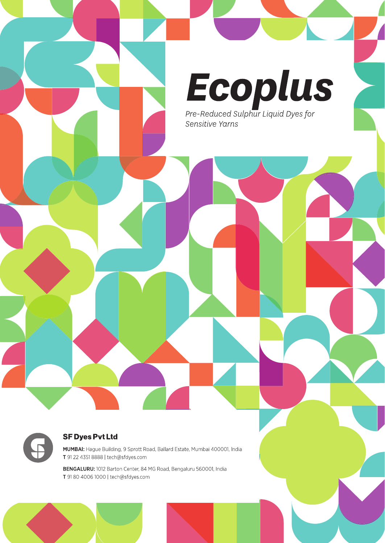



#### **SF Dyes Pvt Ltd**

MUMBAI: Hague Building, 9 Sprott Road, Ballard Estate, Mumbai 400001, India T 91 22 4351 8888 | tech@sfdyes.com

BENGALURU: 1012 Barton Center, 84 MG Road, Bengaluru 560001, India T 91 80 4006 1000 | tech@sfdyes.com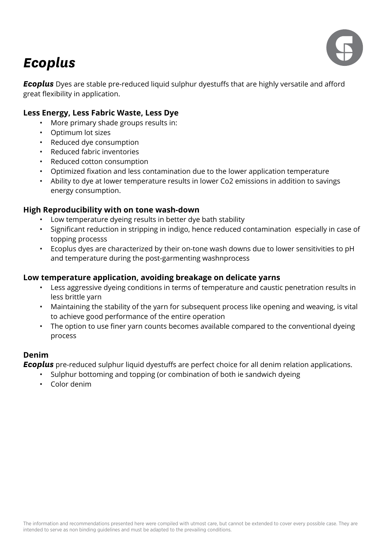

# *Ecoplus*

**Ecoplus** Dyes are stable pre-reduced liquid sulphur dyestuffs that are highly versatile and afford great fexibility in application.

### **Less Energy, Less Fabric Waste, Less Dye**

- More primary shade groups results in:
- Optimum lot sizes
- Reduced dye consumption
- Reduced fabric inventories
- Reduced cotton consumption
- Optimized fxation and less contamination due to the lower application temperature
- Ability to dye at lower temperature results in lower Co2 emissions in addition to savings energy consumption.

### **High Reproducibility with on tone wash-down**

- Low temperature dyeing results in better dye bath stability
- Signifcant reduction in stripping in indigo, hence reduced contamination especially in case of topping processs
- Ecoplus dyes are characterized by their on-tone wash downs due to lower sensitivities to pH and temperature during the post-garmenting washnprocess

#### **Low temperature application, avoiding breakage on delicate yarns**

- Less aggressive dyeing conditions in terms of temperature and caustic penetration results in less brittle yarn
- Maintaining the stability of the yarn for subsequent process like opening and weaving, is vital to achieve good performance of the entire operation
- The option to use finer yarn counts becomes available compared to the conventional dyeing process

#### **Denim**

**Ecoplus** pre-reduced sulphur liquid dyestuffs are perfect choice for all denim relation applications.

- Sulphur bottoming and topping (or combination of both ie sandwich dyeing
- Color denim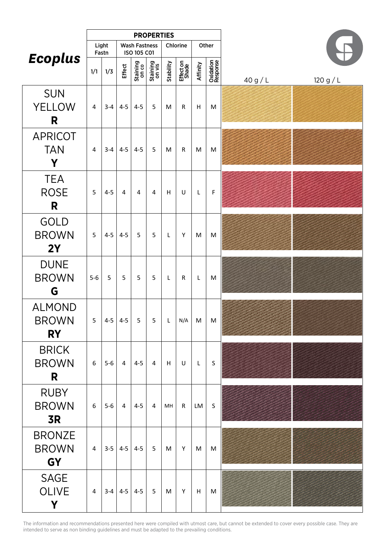|                                            |                |         |                                     |                   | <b>PROPERTIES</b>  |              |                    |                 |                       |        |         |
|--------------------------------------------|----------------|---------|-------------------------------------|-------------------|--------------------|--------------|--------------------|-----------------|-----------------------|--------|---------|
|                                            | Light<br>Fastn |         | <b>Wash Fastness</b><br>ISO 105 C01 |                   | Chlorine           |              | Other              |                 |                       |        |         |
| <b>Ecoplus</b>                             | 1/1            | 1/3     | <b>Effect</b>                       | Staining<br>on co | Staining<br>on vis | Stability    | Effect on<br>Shade | <b>Affinity</b> | Oxidation<br>Response | 40 g/L | 120 g/L |
| <b>SUN</b><br><b>YELLOW</b><br>R           | 4              | $3 - 4$ | $4 - 5$                             | $4 - 5$           | 5                  | M            | R                  | Н               | M                     |        |         |
| <b>APRICOT</b><br><b>TAN</b><br>Y          | 4              | $3-4$   | $4 - 5$                             | $4 - 5$           | 5                  | M            | R                  | M               | M                     |        |         |
| <b>TEA</b><br><b>ROSE</b><br>R             | 5              | $4 - 5$ | $\overline{4}$                      | $\overline{4}$    | $\overline{4}$     | H            | U                  | L               | F                     |        |         |
| <b>GOLD</b><br><b>BROWN</b><br>2Y          | 5              | $4 - 5$ | $4 - 5$                             | 5                 | 5                  | $\mathsf{L}$ | Y                  | M               | M                     |        |         |
| <b>DUNE</b><br><b>BROWN</b><br>G           | $5-6$          | 5       | 5                                   | 5                 | 5                  | L            | R                  | L               | M                     |        |         |
| <b>ALMOND</b><br><b>BROWN</b><br><b>RY</b> | 5              | $4-5$   | $4 - 5$                             | $5\overline{)}$   | 5                  | $\mathsf L$  | N/A                | M               | M                     |        |         |
| <b>BRICK</b><br><b>BROWN</b><br>R          | 6              | $5-6$   | $\overline{4}$                      | $4 - 5$           | $\overline{4}$     | H            | U                  | L               | S                     |        |         |
| <b>RUBY</b><br><b>BROWN</b><br><b>3R</b>   | 6              | $5-6$   | $\overline{4}$                      | $4 - 5$           | $\overline{4}$     | MH           | $\mathsf{R}$       | LM              | S                     |        |         |
| <b>BRONZE</b><br><b>BROWN</b><br><b>GY</b> | $\overline{4}$ |         | $3-5$   4-5                         | $4 - 5$           | 5                  | M            | Y                  | M               | M                     |        |         |
| <b>SAGE</b><br><b>OLIVE</b><br>Y           | $\overline{4}$ | $3-4$   | $4 - 5$                             | $4 - 5$           | 5                  | M            | Y                  | H               | M                     |        |         |

The information and recommendations presented here were compiled with utmost care, but cannot be extended to cover every possible case. They are intended to serve as non binding guidelines and must be adapted to the prevailing conditions.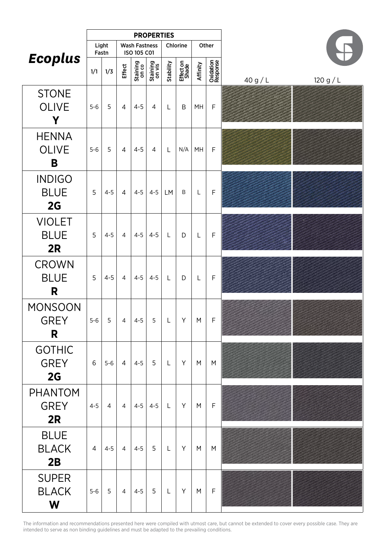|                                     |                |                |                |                                     | <b>PROPERTIES</b>  |              |                    |          |                       |        |         |
|-------------------------------------|----------------|----------------|----------------|-------------------------------------|--------------------|--------------|--------------------|----------|-----------------------|--------|---------|
|                                     |                | Light<br>Fastn |                | <b>Wash Fastness</b><br>ISO 105 C01 |                    |              | Chlorine           |          | Other                 |        |         |
| <b>Ecoplus</b>                      | 1/1            | 1/3            | Effect         | Staining<br>on co                   | Staining<br>on vis | Stability    | Effect on<br>Shade | Affinity | Oxidation<br>Response | 40 g/L | 120 g/L |
| <b>STONE</b><br><b>OLIVE</b><br>Y   | $5-6$          | 5              | $\overline{4}$ | $4 - 5$                             | $\overline{4}$     | L            | B                  | MH       | $\mathsf F$           |        |         |
| <b>HENNA</b><br><b>OLIVE</b><br>B   | $5-6$          | 5              | $\overline{4}$ | $4 - 5$                             | $\overline{4}$     | L            | N/A                | MH       | $\mathsf{F}$          |        |         |
| <b>INDIGO</b><br><b>BLUE</b><br>2G  | 5              | $4 - 5$        | $\overline{4}$ | $4 - 5$                             | $4 - 5$            | LM           | B                  | L        | $\mathsf F$           |        |         |
| <b>VIOLET</b><br><b>BLUE</b><br>2R  | 5              | $4 - 5$        | $\overline{4}$ | $4 - 5$                             | $4 - 5$            | L            | D                  | L        | $\mathsf F$           |        |         |
| <b>CROWN</b><br><b>BLUE</b><br>R    | 5              | $4 - 5$        | $\overline{4}$ | $4 - 5$                             | $4 - 5$            | L            | D                  | L        | $\mathsf{F}$          |        |         |
| <b>MONSOON</b><br><b>GREY</b><br>R  | $5-6$          | 5              | $\overline{4}$ | $4-5$                               | 5 <sup>5</sup>     | $\mathsf{L}$ | Y                  | M        | F                     |        |         |
| <b>GOTHIC</b><br><b>GREY</b><br>2G  | 6              | $5-6$          | $\overline{4}$ | $4 - 5$                             | 5                  | $\mathsf{L}$ | Y                  | M        | M                     |        |         |
| <b>PHANTOM</b><br><b>GREY</b><br>2R | $4 - 5$        | $\overline{4}$ | $\overline{4}$ |                                     | $4-5$ 4-5          | $\mathsf L$  | Y                  | M        | $\mathsf F$           |        |         |
| <b>BLUE</b><br><b>BLACK</b><br>2B   | $\overline{4}$ | $4 - 5$        | $\overline{4}$ | $4 - 5$                             | 5                  | $\mathsf{L}$ | Y                  | M        | M                     |        |         |
| <b>SUPER</b><br><b>BLACK</b><br>W   | $5-6$          | 5              | $\overline{4}$ | $4 - 5$                             | $5\overline{5}$    | $\mathsf{L}$ | Y                  | M        | $\mathsf F$           |        |         |

The information and recommendations presented here were compiled with utmost care, but cannot be extended to cover every possible case. They are intended to serve as non binding guidelines and must be adapted to the prevailing conditions.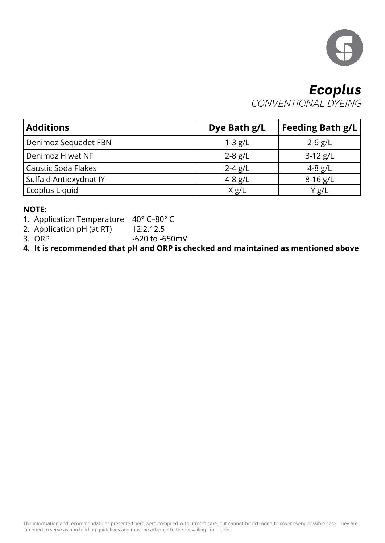

## *Ecoplus CONVENTIONAL DYEING*

| <b>Additions</b>           | Dye Bath g/L | <b>Feeding Bath g/L</b> |
|----------------------------|--------------|-------------------------|
| Denimoz Sequadet FBN       | $1 - 3 g/L$  | $2 - 6$ g/L             |
| Denimoz Hiwet NF           | $2 - 8$ g/L  | $3-12$ g/L              |
| <b>Caustic Soda Flakes</b> | $2 - 4 g/L$  | $4 - 8$ g/L             |
| Sulfaid Antioxydnat IY     | $4 - 8$ g/L  | $8-16$ g/L              |
| Ecoplus Liquid             | X g/L        | Y g/L                   |

### **NOTE:**

- 1. Application Temperature 40° C-80° C
- 2. Application pH (at RT)  $12.2.12.5$ <br>3. ORP  $-620$  to  $-6$
- -620 to -650mV

**4. It is recommended that pH and ORP is checked and maintained as mentioned above**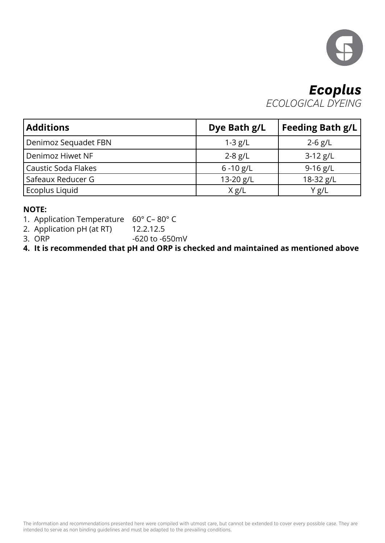

## *Ecoplus ECOLOGICAL DYEING*

| <b>Additions</b>           | Dye Bath g/L | Feeding Bath g/L |
|----------------------------|--------------|------------------|
| Denimoz Sequadet FBN       | $1 - 3 g/L$  | $2 - 6$ g/L      |
| Denimoz Hiwet NF           | $2 - 8$ g/L  | $3-12$ g/L       |
| <b>Caustic Soda Flakes</b> | $6 - 10$ g/L | 9-16 $g/L$       |
| Safeaux Reducer G          | 13-20 g/L    | 18-32 g/L        |
| Ecoplus Liquid             | X g/L        | Y g/L            |

### **NOTE:**

- 1. Application Temperature 60° C-80° C
- 2. Application pH (at RT)  $12.2.12.5$ <br>3. ORP  $-620$  to  $-6$
- -620 to -650mV

**4. It is recommended that pH and ORP is checked and maintained as mentioned above**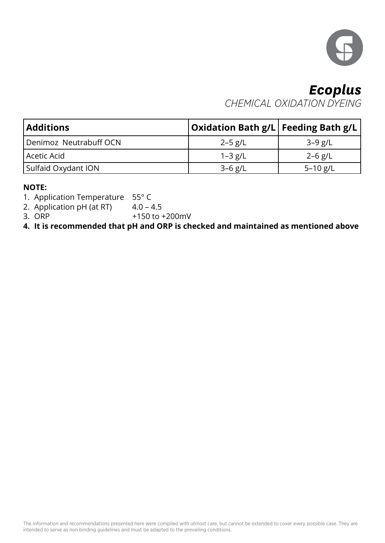

# *Ecoplus CHEMICAL OXIDATION DYEING*

| <b>Additions</b>       | <b>Oxidation Bath g/L Feeding Bath g/L</b> |              |
|------------------------|--------------------------------------------|--------------|
| Denimoz Neutrabuff OCN | $2 - 5$ g/L                                | $3-9$ g/L    |
| Acetic Acid            | 1-3 g/L                                    | $2 - 6$ g/L  |
| Sulfaid Oxydant ION    | $3 - 6$ g/L                                | $5 - 10$ g/L |

### **NOTE:**

1. Application Temperature  $55^{\circ}$  C<br>2. Application pH (at RT)  $4.0 - 4.5$ 

2. Application pH (at RT)

3. ORP  $+150$  to  $+200$  mV

**4. It is recommended that pH and ORP is checked and maintained as mentioned above**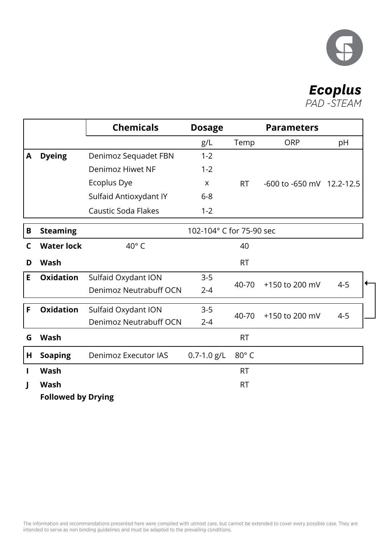

# *Ecoplus*

*PAD -STEAM*

|   |                           | <b>Chemicals</b>            | <b>Dosage</b>            |              | <b>Parameters</b>         |         |
|---|---------------------------|-----------------------------|--------------------------|--------------|---------------------------|---------|
|   |                           |                             | g/L                      | Temp         | <b>ORP</b>                | pH      |
| A | <b>Dyeing</b>             | Denimoz Sequadet FBN        | $1 - 2$                  |              |                           |         |
|   |                           | Denimoz Hiwet NF            | $1 - 2$                  |              |                           |         |
|   |                           | Ecoplus Dye                 | X                        | <b>RT</b>    | -600 to -650 mV 12.2-12.5 |         |
|   |                           | Sulfaid Antioxydant IY      | $6 - 8$                  |              |                           |         |
|   |                           | Caustic Soda Flakes         | $1 - 2$                  |              |                           |         |
| B | <b>Steaming</b>           |                             | 102-104° C for 75-90 sec |              |                           |         |
| C | <b>Water lock</b>         | $40^{\circ}$ C              |                          | 40           |                           |         |
| D | <b>Wash</b>               |                             |                          | <b>RT</b>    |                           |         |
| E | <b>Oxidation</b>          | Sulfaid Oxydant ION         | $3 - 5$                  |              |                           | ←       |
|   |                           | Denimoz Neutrabuff OCN      | $2 - 4$                  | 40-70        | +150 to 200 mV            | $4 - 5$ |
| F | <b>Oxidation</b>          | Sulfaid Oxydant ION         | $3-5$                    |              |                           |         |
|   |                           | Denimoz Neutrabuff OCN      | $2 - 4$                  | 40-70        | +150 to 200 mV            | $4 - 5$ |
| G | <b>Wash</b>               |                             |                          | <b>RT</b>    |                           |         |
| Н | <b>Soaping</b>            | <b>Denimoz Executor IAS</b> | $0.7 - 1.0$ g/L          | $80^\circ$ C |                           |         |
| Ш | <b>Wash</b>               |                             |                          | <b>RT</b>    |                           |         |
| J | <b>Wash</b>               |                             |                          | <b>RT</b>    |                           |         |
|   | <b>Followed by Drying</b> |                             |                          |              |                           |         |